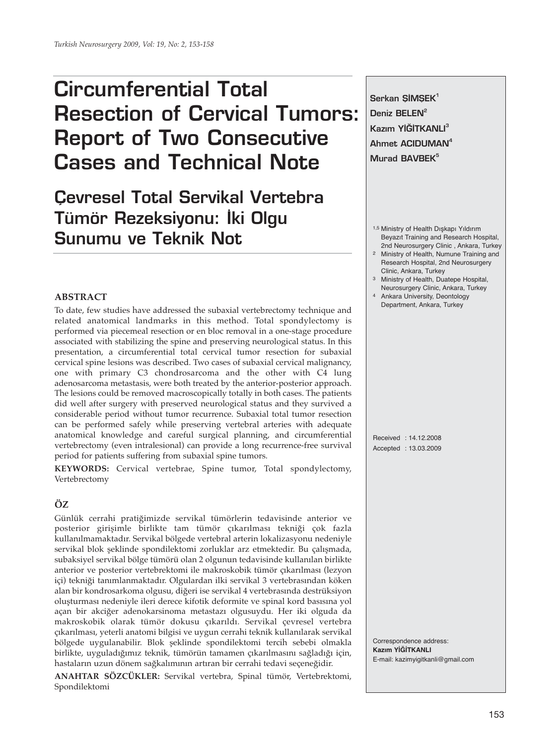# **Circumferential Total Resection of Cervical Tumors: Report of Two Consecutive Cases and Technical Note**

## **Çevresel Total Servikal Vertebra Tümör Rezeksiyonu: İki Olgu Sunumu ve Teknik Not**

#### **ABSTRACT**

To date, few studies have addressed the subaxial vertebrectomy technique and related anatomical landmarks in this method. Total spondylectomy is performed via piecemeal resection or en bloc removal in a one-stage procedure associated with stabilizing the spine and preserving neurological status. In this presentation, a circumferential total cervical tumor resection for subaxial cervical spine lesions was described. Two cases of subaxial cervical malignancy, one with primary C3 chondrosarcoma and the other with C4 lung adenosarcoma metastasis, were both treated by the anterior-posterior approach. The lesions could be removed macroscopically totally in both cases. The patients did well after surgery with preserved neurological status and they survived a considerable period without tumor recurrence. Subaxial total tumor resection can be performed safely while preserving vertebral arteries with adequate anatomical knowledge and careful surgical planning, and circumferential vertebrectomy (even intralesional) can provide a long recurrence-free survival period for patients suffering from subaxial spine tumors.

**KEYWORDS:** Cervical vertebrae, Spine tumor, Total spondylectomy, Vertebrectomy

### **ÖZ**

Günlük cerrahi pratiğimizde servikal tümörlerin tedavisinde anterior ve posterior girişimle birlikte tam tümör çıkarılması tekniği çok fazla kullanılmamaktadır. Servikal bölgede vertebral arterin lokalizasyonu nedeniyle servikal blok şeklinde spondilektomi zorluklar arz etmektedir. Bu çalışmada, subaksiyel servikal bölge tümörü olan 2 olgunun tedavisinde kullanılan birlikte anterior ve posterior vertebrektomi ile makroskobik tümör çıkarılması (lezyon içi) tekniği tanımlanmaktadır. Olgulardan ilki servikal 3 vertebrasından köken alan bir kondrosarkoma olgusu, diğeri ise servikal 4 vertebrasında destrüksiyon oluşturması nedeniyle ileri derece kifotik deformite ve spinal kord basısına yol açan bir akciğer adenokarsinoma metastazı olgusuydu. Her iki olguda da makroskobik olarak tümör dokusu çıkarıldı. Servikal çevresel vertebra çıkarılması, yeterli anatomi bilgisi ve uygun cerrahi teknik kullanılarak servikal bölgede uygulanabilir. Blok şeklinde spondilektomi tercih sebebi olmakla birlikte, uyguladığımız teknik, tümörün tamamen çıkarılmasını sağladığı için, hastaların uzun dönem sağkalımının artıran bir cerrahi tedavi seçeneğidir.

**ANAHTAR SÖZCÜKLER:** Servikal vertebra, Spinal tümör, Vertebrektomi, Spondilektomi

Serkan SIMSEK<sup>1</sup> Deniz BELEN<sup>2</sup> **Kazım YİĞİTKANLI<sup>3</sup> Ahmet ACIDUMAN4 Murad BAVBEK<sup>5</sup>**

- 1,5 Ministry of Health Dışkapı Yıldırım Beyazıt Training and Research Hospital, 2nd Neurosurgery Clinic , Ankara, Turkey 2 Ministry of Health, Numune Training and
- Research Hospital, 2nd Neurosurgery Clinic, Ankara, Turkey
- 3 Ministry of Health, Duatepe Hospital, Neurosurgery Clinic, Ankara, Turkey 4 Ankara University, Deontology
- Department, Ankara, Turkey

Received : 14.12.2008 Accepted : 13.03.2009

Correspondence address: **Kazım YİĞİTKANLI** E-mail: kazimyigitkanli@gmail.com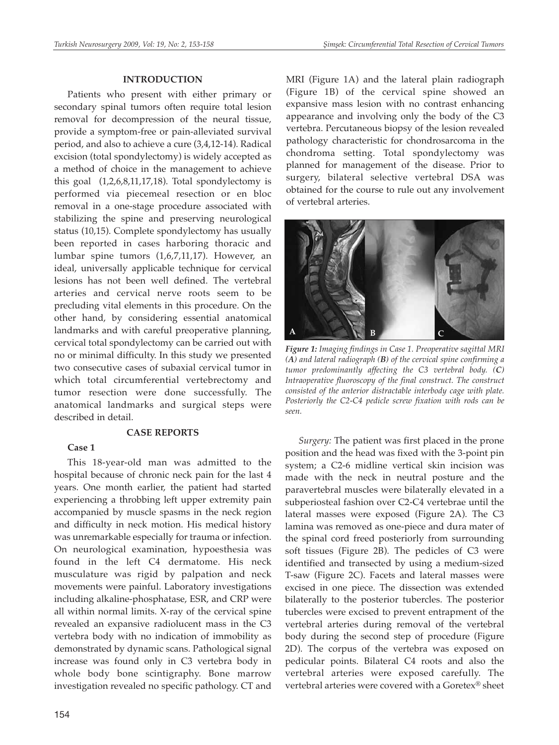#### **INTRODUCTION**

Patients who present with either primary or secondary spinal tumors often require total lesion removal for decompression of the neural tissue, provide a symptom-free or pain-alleviated survival period, and also to achieve a cure (3,4,12-14). Radical excision (total spondylectomy) is widely accepted as a method of choice in the management to achieve this goal (1,2,6,8,11,17,18). Total spondylectomy is performed via piecemeal resection or en bloc removal in a one-stage procedure associated with stabilizing the spine and preserving neurological status (10,15). Complete spondylectomy has usually been reported in cases harboring thoracic and lumbar spine tumors (1,6,7,11,17). However, an ideal, universally applicable technique for cervical lesions has not been well defined. The vertebral arteries and cervical nerve roots seem to be precluding vital elements in this procedure. On the other hand, by considering essential anatomical landmarks and with careful preoperative planning, cervical total spondylectomy can be carried out with no or minimal difficulty. In this study we presented two consecutive cases of subaxial cervical tumor in which total circumferential vertebrectomy and tumor resection were done successfully. The anatomical landmarks and surgical steps were described in detail.

#### **CASE REPORTS**

#### **Case 1**

This 18-year-old man was admitted to the hospital because of chronic neck pain for the last 4 years. One month earlier, the patient had started experiencing a throbbing left upper extremity pain accompanied by muscle spasms in the neck region and difficulty in neck motion. His medical history was unremarkable especially for trauma or infection. On neurological examination, hypoesthesia was found in the left C4 dermatome. His neck musculature was rigid by palpation and neck movements were painful. Laboratory investigations including alkaline-phosphatase, ESR, and CRP were all within normal limits. X-ray of the cervical spine revealed an expansive radiolucent mass in the C3 vertebra body with no indication of immobility as demonstrated by dynamic scans. Pathological signal increase was found only in C3 vertebra body in whole body bone scintigraphy. Bone marrow investigation revealed no specific pathology. CT and

MRI (Figure 1A) and the lateral plain radiograph (Figure 1B) of the cervical spine showed an expansive mass lesion with no contrast enhancing appearance and involving only the body of the C3 vertebra. Percutaneous biopsy of the lesion revealed pathology characteristic for chondrosarcoma in the chondroma setting. Total spondylectomy was planned for management of the disease. Prior to surgery, bilateral selective vertebral DSA was obtained for the course to rule out any involvement of vertebral arteries.



*Figure 1: Imaging findings in Case 1. Preoperative sagittal MRI (A) and lateral radiograph (B) of the cervical spine confirming a tumor predominantly affecting the C3 vertebral body. (C) Intraoperative fluoroscopy of the final construct. The construct consisted of the anterior distractable interbody cage with plate. Posteriorly the C2-C4 pedicle screw fixation with rods can be seen.*

*Surgery:* The patient was first placed in the prone position and the head was fixed with the 3-point pin system; a C2-6 midline vertical skin incision was made with the neck in neutral posture and the paravertebral muscles were bilaterally elevated in a subperiosteal fashion over C2-C4 vertebrae until the lateral masses were exposed (Figure 2A). The C3 lamina was removed as one-piece and dura mater of the spinal cord freed posteriorly from surrounding soft tissues (Figure 2B). The pedicles of C3 were identified and transected by using a medium-sized T-saw (Figure 2C). Facets and lateral masses were excised in one piece. The dissection was extended bilaterally to the posterior tubercles. The posterior tubercles were excised to prevent entrapment of the vertebral arteries during removal of the vertebral body during the second step of procedure (Figure 2D). The corpus of the vertebra was exposed on pedicular points. Bilateral C4 roots and also the vertebral arteries were exposed carefully. The vertebral arteries were covered with a Goretex® sheet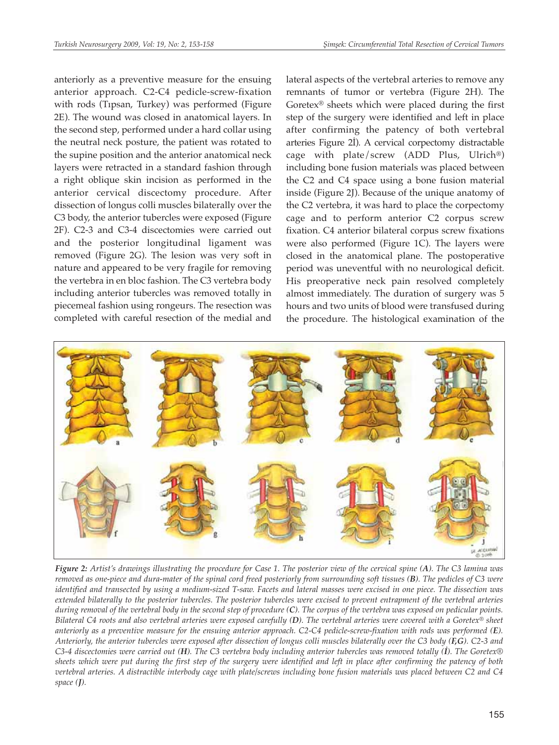anteriorly as a preventive measure for the ensuing anterior approach. C2-C4 pedicle-screw-fixation with rods (Tıpsan, Turkey) was performed (Figure 2E). The wound was closed in anatomical layers. In the second step, performed under a hard collar using the neutral neck posture, the patient was rotated to the supine position and the anterior anatomical neck layers were retracted in a standard fashion through a right oblique skin incision as performed in the anterior cervical discectomy procedure. After dissection of longus colli muscles bilaterally over the C3 body, the anterior tubercles were exposed (Figure 2F). C2-3 and C3-4 discectomies were carried out and the posterior longitudinal ligament was removed (Figure 2G). The lesion was very soft in nature and appeared to be very fragile for removing the vertebra in en bloc fashion. The C3 vertebra body including anterior tubercles was removed totally in piecemeal fashion using rongeurs. The resection was completed with careful resection of the medial and

lateral aspects of the vertebral arteries to remove any remnants of tumor or vertebra (Figure 2H). The Goretex® sheets which were placed during the first step of the surgery were identified and left in place after confirming the patency of both vertebral arteries Figure 2İ). A cervical corpectomy distractable cage with plate/screw (ADD Plus, Ulrich<sup>®</sup>) including bone fusion materials was placed between the C2 and C4 space using a bone fusion material inside (Figure 2J). Because of the unique anatomy of the C2 vertebra, it was hard to place the corpectomy cage and to perform anterior C2 corpus screw fixation. C4 anterior bilateral corpus screw fixations were also performed (Figure 1C). The layers were closed in the anatomical plane. The postoperative period was uneventful with no neurological deficit. His preoperative neck pain resolved completely almost immediately. The duration of surgery was 5 hours and two units of blood were transfused during the procedure. The histological examination of the



*Figure 2: Artist's drawings illustrating the procedure for Case 1. The posterior view of the cervical spine (A). The C3 lamina was removed as one-piece and dura-mater of the spinal cord freed posteriorly from surrounding soft tissues (B). The pedicles of C3 were identified and transected by using a medium-sized T-saw. Facets and lateral masses were excised in one piece. The dissection was extended bilaterally to the posterior tubercles. The posterior tubercles were excised to prevent entrapment of the vertebral arteries during removal of the vertebral body in the second step of procedure (C). The corpus of the vertebra was exposed on pedicular points. Bilateral C4 roots and also vertebral arteries were exposed carefully (D). The vertebral arteries were covered with a Goretex® sheet anteriorly as a preventive measure for the ensuing anterior approach. C2-C4 pedicle-screw-fixation with rods was performed (E). Anteriorly, the anterior tubercles were exposed after dissection of longus colli muscles bilaterally over the C3 body (F,G). C2-3 and C3-4 discectomies were carried out (H). The C3 vertebra body including anterior tubercles was removed totally (İ). The Goretex® sheets which were put during the first step of the surgery were identified and left in place after confirming the patency of both vertebral arteries. A distractible interbody cage with plate/screws including bone fusion materials was placed between C2 and C4 space (J).*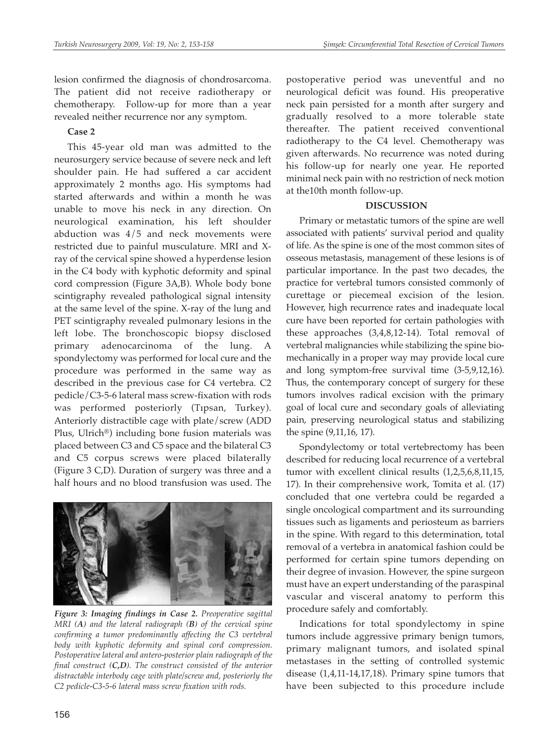lesion confirmed the diagnosis of chondrosarcoma. The patient did not receive radiotherapy or chemotherapy. Follow-up for more than a year revealed neither recurrence nor any symptom.

#### **Case 2**

This 45-year old man was admitted to the neurosurgery service because of severe neck and left shoulder pain. He had suffered a car accident approximately 2 months ago. His symptoms had started afterwards and within a month he was unable to move his neck in any direction. On neurological examination, his left shoulder abduction was  $4/5$  and neck movements were restricted due to painful musculature. MRI and Xray of the cervical spine showed a hyperdense lesion in the C4 body with kyphotic deformity and spinal cord compression (Figure 3A,B). Whole body bone scintigraphy revealed pathological signal intensity at the same level of the spine. X-ray of the lung and PET scintigraphy revealed pulmonary lesions in the left lobe. The bronchoscopic biopsy disclosed primary adenocarcinoma of the lung. A spondylectomy was performed for local cure and the procedure was performed in the same way as described in the previous case for C4 vertebra. C2 pedicle/C3-5-6 lateral mass screw-fixation with rods was performed posteriorly (Tıpsan, Turkey). Anteriorly distractible cage with plate/screw (ADD Plus, Ulrich®) including bone fusion materials was placed between C3 and C5 space and the bilateral C3 and C5 corpus screws were placed bilaterally (Figure 3 C,D). Duration of surgery was three and a half hours and no blood transfusion was used. The



*Figure 3: Imaging findings in Case 2. Preoperative sagittal MRI (A) and the lateral radiograph (B) of the cervical spine confirming a tumor predominantly affecting the C3 vertebral body with kyphotic deformity and spinal cord compression. Postoperative lateral and antero-posterior plain radiograph of the final construct (C,D). The construct consisted of the anterior distractable interbody cage with plate/screw and, posteriorly the C2 pedicle-C3-5-6 lateral mass screw fixation with rods.* 

postoperative period was uneventful and no neurological deficit was found. His preoperative neck pain persisted for a month after surgery and gradually resolved to a more tolerable state thereafter. The patient received conventional radiotherapy to the C4 level. Chemotherapy was given afterwards. No recurrence was noted during his follow-up for nearly one year. He reported minimal neck pain with no restriction of neck motion at the10th month follow-up.

#### **DISCUSSION**

Primary or metastatic tumors of the spine are well associated with patients' survival period and quality of life. As the spine is one of the most common sites of osseous metastasis, management of these lesions is of particular importance. In the past two decades, the practice for vertebral tumors consisted commonly of curettage or piecemeal excision of the lesion. However, high recurrence rates and inadequate local cure have been reported for certain pathologies with these approaches (3,4,8,12-14). Total removal of vertebral malignancies while stabilizing the spine biomechanically in a proper way may provide local cure and long symptom-free survival time (3-5,9,12,16). Thus, the contemporary concept of surgery for these tumors involves radical excision with the primary goal of local cure and secondary goals of alleviating pain, preserving neurological status and stabilizing the spine (9,11,16, 17).

Spondylectomy or total vertebrectomy has been described for reducing local recurrence of a vertebral tumor with excellent clinical results (1,2,5,6,8,11,15, 17). In their comprehensive work, Tomita et al. (17) concluded that one vertebra could be regarded a single oncological compartment and its surrounding tissues such as ligaments and periosteum as barriers in the spine. With regard to this determination, total removal of a vertebra in anatomical fashion could be performed for certain spine tumors depending on their degree of invasion. However, the spine surgeon must have an expert understanding of the paraspinal vascular and visceral anatomy to perform this procedure safely and comfortably.

Indications for total spondylectomy in spine tumors include aggressive primary benign tumors, primary malignant tumors, and isolated spinal metastases in the setting of controlled systemic disease (1,4,11-14,17,18). Primary spine tumors that have been subjected to this procedure include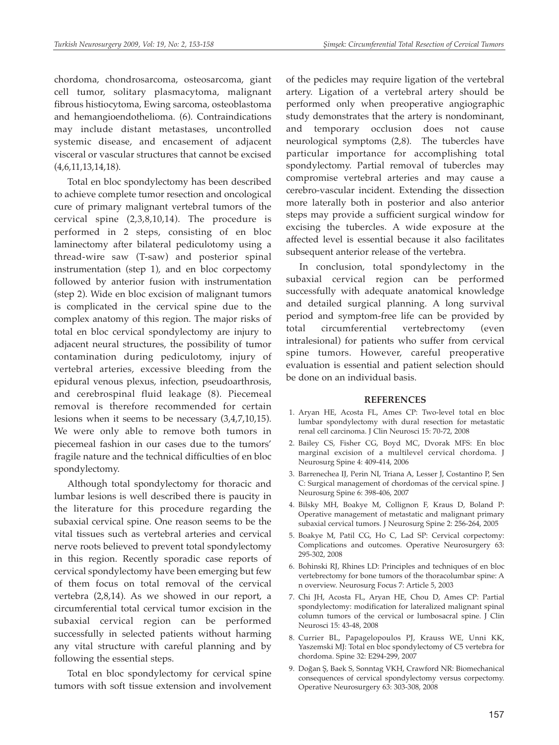chordoma, chondrosarcoma, osteosarcoma, giant cell tumor, solitary plasmacytoma, malignant fibrous histiocytoma, Ewing sarcoma, osteoblastoma and hemangioendothelioma. (6). Contraindications may include distant metastases, uncontrolled systemic disease, and encasement of adjacent visceral or vascular structures that cannot be excised (4,6,11,13,14,18).

Total en bloc spondylectomy has been described to achieve complete tumor resection and oncological cure of primary malignant vertebral tumors of the cervical spine (2,3,8,10,14). The procedure is performed in 2 steps, consisting of en bloc laminectomy after bilateral pediculotomy using a thread-wire saw (T-saw) and posterior spinal instrumentation (step 1), and en bloc corpectomy followed by anterior fusion with instrumentation (step 2). Wide en bloc excision of malignant tumors is complicated in the cervical spine due to the complex anatomy of this region. The major risks of total en bloc cervical spondylectomy are injury to adjacent neural structures, the possibility of tumor contamination during pediculotomy, injury of vertebral arteries, excessive bleeding from the epidural venous plexus, infection, pseudoarthrosis, and cerebrospinal fluid leakage (8). Piecemeal removal is therefore recommended for certain lesions when it seems to be necessary (3,4,7,10,15). We were only able to remove both tumors in piecemeal fashion in our cases due to the tumors' fragile nature and the technical difficulties of en bloc spondylectomy.

Although total spondylectomy for thoracic and lumbar lesions is well described there is paucity in the literature for this procedure regarding the subaxial cervical spine. One reason seems to be the vital tissues such as vertebral arteries and cervical nerve roots believed to prevent total spondylectomy in this region. Recently sporadic case reports of cervical spondylectomy have been emerging but few of them focus on total removal of the cervical vertebra (2,8,14). As we showed in our report, a circumferential total cervical tumor excision in the subaxial cervical region can be performed successfully in selected patients without harming any vital structure with careful planning and by following the essential steps.

Total en bloc spondylectomy for cervical spine tumors with soft tissue extension and involvement

of the pedicles may require ligation of the vertebral artery. Ligation of a vertebral artery should be performed only when preoperative angiographic study demonstrates that the artery is nondominant, and temporary occlusion does not cause neurological symptoms (2,8). The tubercles have particular importance for accomplishing total spondylectomy. Partial removal of tubercles may compromise vertebral arteries and may cause a cerebro-vascular incident. Extending the dissection more laterally both in posterior and also anterior steps may provide a sufficient surgical window for excising the tubercles. A wide exposure at the affected level is essential because it also facilitates subsequent anterior release of the vertebra.

In conclusion, total spondylectomy in the subaxial cervical region can be performed successfully with adequate anatomical knowledge and detailed surgical planning. A long survival period and symptom-free life can be provided by total circumferential vertebrectomy (even intralesional) for patients who suffer from cervical spine tumors. However, careful preoperative evaluation is essential and patient selection should be done on an individual basis.

#### **REFERENCES**

- 1. Aryan HE, Acosta FL, Ames CP: Two-level total en bloc lumbar spondylectomy with dural resection for metastatic renal cell carcinoma. J Clin Neurosci 15: 70-72, 2008
- 2. Bailey CS, Fisher CG, Boyd MC, Dvorak MFS: En bloc marginal excision of a multilevel cervical chordoma. J Neurosurg Spine 4: 409-414, 2006
- 3. Barrenechea IJ, Perin NI, Triana A, Lesser J, Costantino P, Sen C: Surgical management of chordomas of the cervical spine. J Neurosurg Spine 6: 398-406, 2007
- 4. Bilsky MH, Boakye M, Collignon F, Kraus D, Boland P: Operative management of metastatic and malignant primary subaxial cervical tumors. J Neurosurg Spine 2: 256-264, 2005
- 5. Boakye M, Patil CG, Ho C, Lad SP: Cervical corpectomy: Complications and outcomes. Operative Neurosurgery 63: 295-302, 2008
- 6. Bohinski RJ, Rhines LD: Principles and techniques of en bloc vertebrectomy for bone tumors of the thoracolumbar spine: A n overview. Neurosurg Focus 7: Article 5, 2003
- 7. Chi JH, Acosta FL, Aryan HE, Chou D, Ames CP: Partial spondylectomy: modification for lateralized malignant spinal column tumors of the cervical or lumbosacral spine. J Clin Neurosci 15: 43-48, 2008
- 8. Currier BL, Papagelopoulos PJ, Krauss WE, Unni KK, Yaszemski MJ: Total en bloc spondylectomy of C5 vertebra for chordoma. Spine 32: E294-299, 2007
- 9. Doğan Ş, Baek S, Sonntag VKH, Crawford NR: Biomechanical consequences of cervical spondylectomy versus corpectomy. Operative Neurosurgery 63: 303-308, 2008